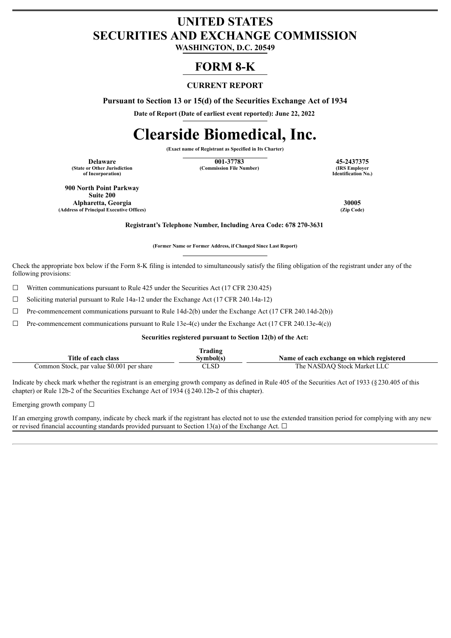# **UNITED STATES SECURITIES AND EXCHANGE COMMISSION**

**WASHINGTON, D.C. 20549**

# **FORM 8-K**

## **CURRENT REPORT**

**Pursuant to Section 13 or 15(d) of the Securities Exchange Act of 1934**

**Date of Report (Date of earliest event reported): June 22, 2022**

# **Clearside Biomedical, Inc.**

**(Exact name of Registrant as Specified in Its Charter)**

**(State or Other Jurisdiction of Incorporation)**

**Delaware 15-2437375**<br> **15-2437375**<br> **16-2437375**<br> **16-2437375**<br> **185 Employer**<br> **185 Employer (Commission File Number)** 

**Identification No.)**

**900 North Point Parkway Suite 200 Alpharetta, Georgia 30005 (Address of Principal Executive Offices)** 

**Registrant's Telephone Number, Including Area Code: 678 270-3631**

**(Former Name or Former Address, if Changed Since Last Report)**

Check the appropriate box below if the Form 8-K filing is intended to simultaneously satisfy the filing obligation of the registrant under any of the following provisions:

☐ Written communications pursuant to Rule 425 under the Securities Act (17 CFR 230.425)

 $\Box$  Soliciting material pursuant to Rule 14a-12 under the Exchange Act (17 CFR 240.14a-12)

 $\Box$  Pre-commencement communications pursuant to Rule 14d-2(b) under the Exchange Act (17 CFR 240.14d-2(b))

 $\Box$  Pre-commencement communications pursuant to Rule 13e-4(c) under the Exchange Act (17 CFR 240.13e-4(c))

**Securities registered pursuant to Section 12(b) of the Act:**

|                                           | Trading   |                                           |
|-------------------------------------------|-----------|-------------------------------------------|
| Title of each class                       | Symbol(s) | Name of each exchange on which registered |
| Common Stock, par value \$0.001 per share | CLSD      | The NASDAO Stock Market LLC               |

Indicate by check mark whether the registrant is an emerging growth company as defined in Rule 405 of the Securities Act of 1933 (§230.405 of this chapter) or Rule 12b-2 of the Securities Exchange Act of 1934 (§240.12b-2 of this chapter).

Emerging growth company  $\Box$ 

If an emerging growth company, indicate by check mark if the registrant has elected not to use the extended transition period for complying with any new or revised financial accounting standards provided pursuant to Section 13(a) of the Exchange Act.  $\Box$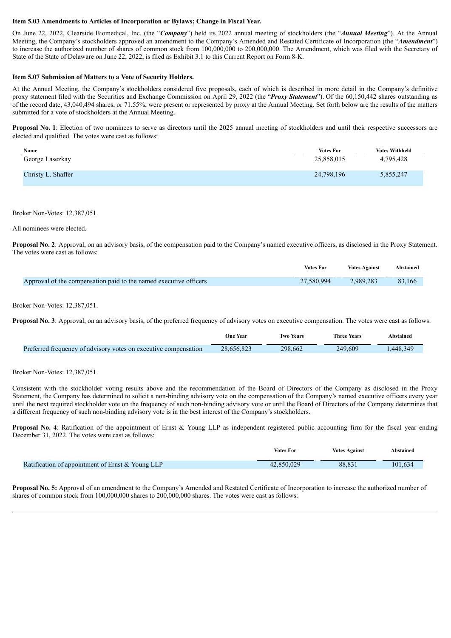#### **Item 5.03 Amendments to Articles of Incorporation or Bylaws; Change in Fiscal Year.**

On June 22, 2022, Clearside Biomedical, Inc. (the "*Company*") held its 2022 annual meeting of stockholders (the "*Annual Meeting*"). At the Annual Meeting, the Company's stockholders approved an amendment to the Company's Amended and Restated Certificate of Incorporation (the "*Amendment*") to increase the authorized number of shares of common stock from 100,000,000 to 200,000,000. The Amendment, which was filed with the Secretary of State of the State of Delaware on June 22, 2022, is filed as Exhibit 3.1 to this Current Report on Form 8-K.

#### **Item 5.07 Submission of Matters to a Vote of Security Holders.**

At the Annual Meeting, the Company's stockholders considered five proposals, each of which is described in more detail in the Company's definitive proxy statement filed with the Securities and Exchange Commission on April 29, 2022 (the "*Proxy Statement*"). Of the 60,150,442 shares outstanding as of the record date, 43,040,494 shares, or 71.55%, were present or represented by proxy at the Annual Meeting. Set forth below are the results of the matters submitted for a vote of stockholders at the Annual Meeting.

**Proposal No. 1**: Election of two nominees to serve as directors until the 2025 annual meeting of stockholders and until their respective successors are elected and qualified. The votes were cast as follows:

| Name               | <b>Votes For</b> | <b>Votes Withheld</b> |
|--------------------|------------------|-----------------------|
| George Lasezkay    | 25,858,015       | 4,795,428             |
| Christy L. Shaffer | 24,798,196       | 5,855,247             |

Broker Non-Votes: 12,387,051.

All nominees were elected.

**Proposal No. 2**: Approval, on an advisory basis, of the compensation paid to the Company's named executive officers, as disclosed in the Proxy Statement. The votes were cast as follows:

|                                                                   | <b>Votes For</b> | <b>Votes Against</b> | Abstained |
|-------------------------------------------------------------------|------------------|----------------------|-----------|
| Approval of the compensation paid to the named executive officers | 27.580.994       | 2,989,283            | 83,166    |

Broker Non-Votes: 12,387,051.

**Proposal No. 3:** Approval, on an advisory basis, of the preferred frequency of advisory votes on executive compensation. The votes were cast as follows:

|                                                                 | <b>One Year</b> | <b>Two Years</b> | <b>Three Years</b> | Abstained |
|-----------------------------------------------------------------|-----------------|------------------|--------------------|-----------|
| Preferred frequency of advisory votes on executive compensation | 28.656.823      | 298.662          | 249.609            | .448.349  |

Broker Non-Votes: 12,387,051.

Consistent with the stockholder voting results above and the recommendation of the Board of Directors of the Company as disclosed in the Proxy Statement, the Company has determined to solicit a non-binding advisory vote on the compensation of the Company's named executive officers every year until the next required stockholder vote on the frequency of such non-binding advisory vote or until the Board of Directors of the Company determines that a different frequency of such non-binding advisory vote is in the best interest of the Company's stockholders.

**Proposal No. 4:** Ratification of the appointment of Ernst & Young LLP as independent registered public accounting firm for the fiscal year ending December 31, 2022. The votes were cast as follows:

|                                                  | <b>Votes For</b> | <b>Votes Against</b> | Abstained |
|--------------------------------------------------|------------------|----------------------|-----------|
| Ratification of appointment of Ernst & Young LLP | 42,850,029       | 88.831               | 101.634   |

**Proposal No. 5:** Approval of an amendment to the Company's Amended and Restated Certificate of Incorporation to increase the authorized number of shares of common stock from 100,000,000 shares to 200,000,000 shares. The votes were cast as follows: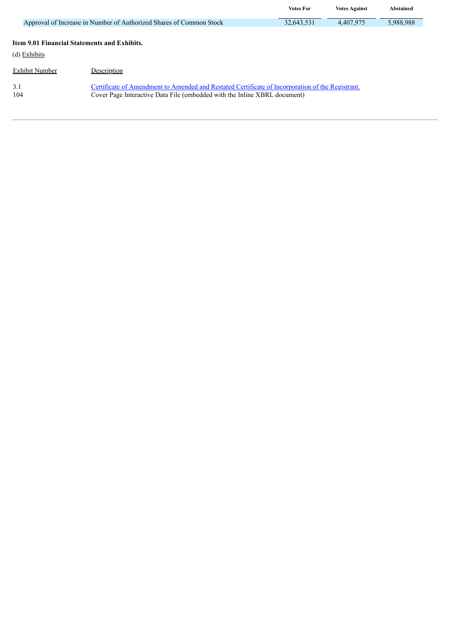|                                              |                                                                                                                                                                               | <b>Votes For</b> | <b>Votes Against</b> | <b>Abstained</b> |
|----------------------------------------------|-------------------------------------------------------------------------------------------------------------------------------------------------------------------------------|------------------|----------------------|------------------|
|                                              | Approval of Increase in Number of Authorized Shares of Common Stock                                                                                                           | 32,643,531       | 4,407,975            | 5,988,988        |
| Item 9.01 Financial Statements and Exhibits. |                                                                                                                                                                               |                  |                      |                  |
| (d) Exhibits                                 |                                                                                                                                                                               |                  |                      |                  |
| Exhibit Number                               | Description                                                                                                                                                                   |                  |                      |                  |
| 3.1<br>104                                   | Certificate of Amendment to Amended and Restated Certificate of Incorporation of the Registrant.<br>Cover Page Interactive Data File (embedded with the Inline XBRL document) |                  |                      |                  |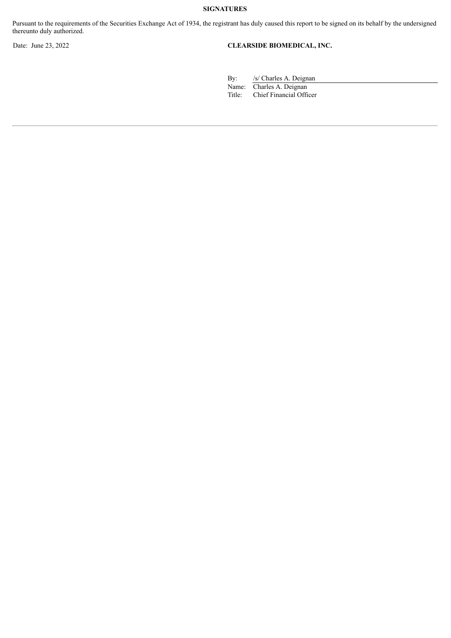Pursuant to the requirements of the Securities Exchange Act of 1934, the registrant has duly caused this report to be signed on its behalf by the undersigned thereunto duly authorized.

## Date: June 23, 2022 **CLEARSIDE BIOMEDICAL, INC.**

By: /s/ Charles A. Deignan

Name: Charles A. Deignan<br>Title: Chief Financial Offi Chief Financial Officer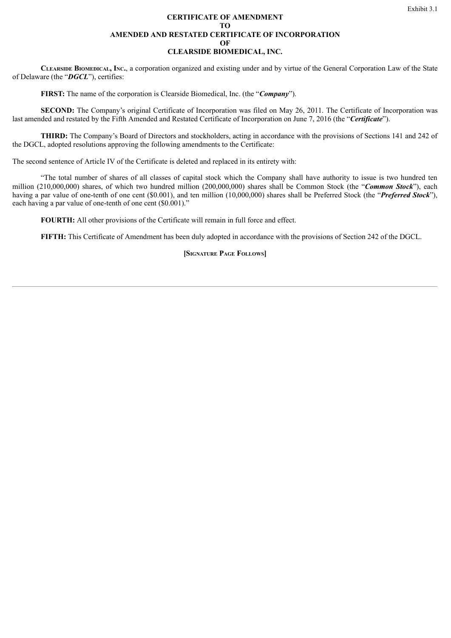#### **CERTIFICATE OF AMENDMENT TO AMENDED AND RESTATED CERTIFICATE OF INCORPORATION OF CLEARSIDE BIOMEDICAL, INC.**

<span id="page-4-0"></span>**Clearside Biomedical, Inc.**, a corporation organized and existing under and by virtue of the General Corporation Law of the State of Delaware (the "*DGCL*"), certifies:

**FIRST:** The name of the corporation is Clearside Biomedical, Inc. (the "*Company*").

**SECOND:** The Company's original Certificate of Incorporation was filed on May 26, 2011. The Certificate of Incorporation was last amended and restated by the Fifth Amended and Restated Certificate of Incorporation on June 7, 2016 (the "*Certificate*").

**THIRD:** The Company's Board of Directors and stockholders, acting in accordance with the provisions of Sections 141 and 242 of the DGCL, adopted resolutions approving the following amendments to the Certificate:

The second sentence of Article IV of the Certificate is deleted and replaced in its entirety with:

"The total number of shares of all classes of capital stock which the Company shall have authority to issue is two hundred ten million (210,000,000) shares, of which two hundred million (200,000,000) shares shall be Common Stock (the "*Common Stock*"), each having a par value of one-tenth of one cent (\$0.001), and ten million (10,000,000) shares shall be Preferred Stock (the "*Preferred Stock*"), each having a par value of one-tenth of one cent (\$0.001)."

**FOURTH:** All other provisions of the Certificate will remain in full force and effect.

**FIFTH:** This Certificate of Amendment has been duly adopted in accordance with the provisions of Section 242 of the DGCL.

**[Signature Page Follows]**